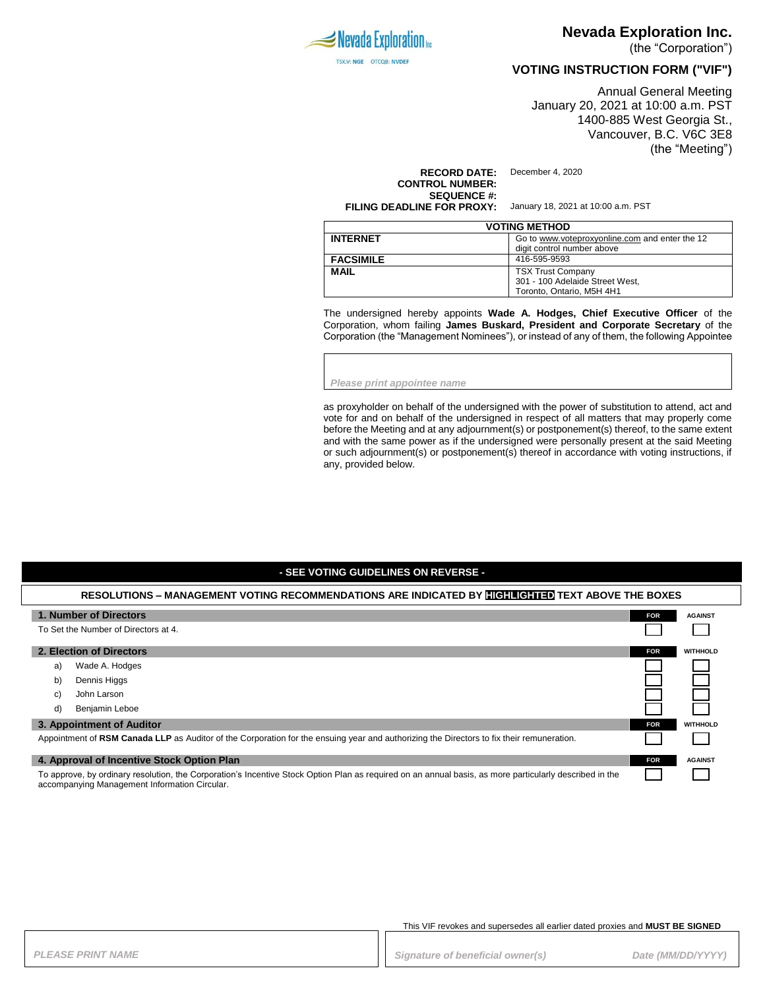

# **Nevada Exploration Inc.**

(the "Corporation")

### **VOTING INSTRUCTION FORM ("VIF")**

Annual General Meeting January 20, 2021 at 10:00 a.m. PST 1400-885 West Georgia St., Vancouver, B.C. V6C 3E8 (the "Meeting")

**RECORD DATE:** December 4, 2020 **CONTROL NUMBER: SEQUENCE #: FILING DEADLINE FOR PROXY:** January 18, 2021 at 10:00 a.m. PST

| <b>VOTING METHOD</b> |                                                                              |  |
|----------------------|------------------------------------------------------------------------------|--|
| <b>INTERNET</b>      | Go to www.voteproxyonline.com and enter the 12<br>digit control number above |  |
|                      |                                                                              |  |
| <b>FACSIMILE</b>     | 416-595-9593                                                                 |  |
| <b>MAIL</b>          | <b>TSX Trust Company</b>                                                     |  |
|                      | 301 - 100 Adelaide Street West,                                              |  |
|                      | Toronto. Ontario. M5H 4H1                                                    |  |

The undersigned hereby appoints **Wade A. Hodges, Chief Executive Officer** of the Corporation, whom failing **James Buskard, President and Corporate Secretary** of the Corporation (the "Management Nominees"), or instead of any of them, the following Appointee

*Please print appointee name*

as proxyholder on behalf of the undersigned with the power of substitution to attend, act and vote for and on behalf of the undersigned in respect of all matters that may properly come before the Meeting and at any adjournment(s) or postponement(s) thereof, to the same extent and with the same power as if the undersigned were personally present at the said Meeting or such adjournment(s) or postponement(s) thereof in accordance with voting instructions, if any, provided below.

#### **- SEE VOTING GUIDELINES ON REVERSE -**

### **RESOLUTIONS – MANAGEMENT VOTING RECOMMENDATIONS ARE INDICATED BY HIGHLIGHTED TEXT ABOVE THE BOXES**

| 1. Number of Directors                                                                                                                                                                                   | <b>FOR</b> | <b>AGAINST</b>  |
|----------------------------------------------------------------------------------------------------------------------------------------------------------------------------------------------------------|------------|-----------------|
| To Set the Number of Directors at 4.                                                                                                                                                                     |            |                 |
| 2. Election of Directors                                                                                                                                                                                 | <b>FOR</b> | <b>WITHHOLD</b> |
| Wade A. Hodges<br>a)                                                                                                                                                                                     |            |                 |
| Dennis Higgs<br>b)                                                                                                                                                                                       |            |                 |
| John Larson<br>C)                                                                                                                                                                                        |            |                 |
| Benjamin Leboe<br>d)                                                                                                                                                                                     |            |                 |
| 3. Appointment of Auditor                                                                                                                                                                                | <b>FOR</b> | <b>WITHHOLD</b> |
| Appointment of RSM Canada LLP as Auditor of the Corporation for the ensuing year and authorizing the Directors to fix their remuneration.                                                                |            |                 |
| 4. Approval of Incentive Stock Option Plan                                                                                                                                                               |            | <b>AGAINST</b>  |
| To approve, by ordinary resolution, the Corporation's Incentive Stock Option Plan as required on an annual basis, as more particularly described in the<br>accompanying Management Information Circular. |            |                 |

This VIF revokes and supersedes all earlier dated proxies and **MUST BE SIGNED**